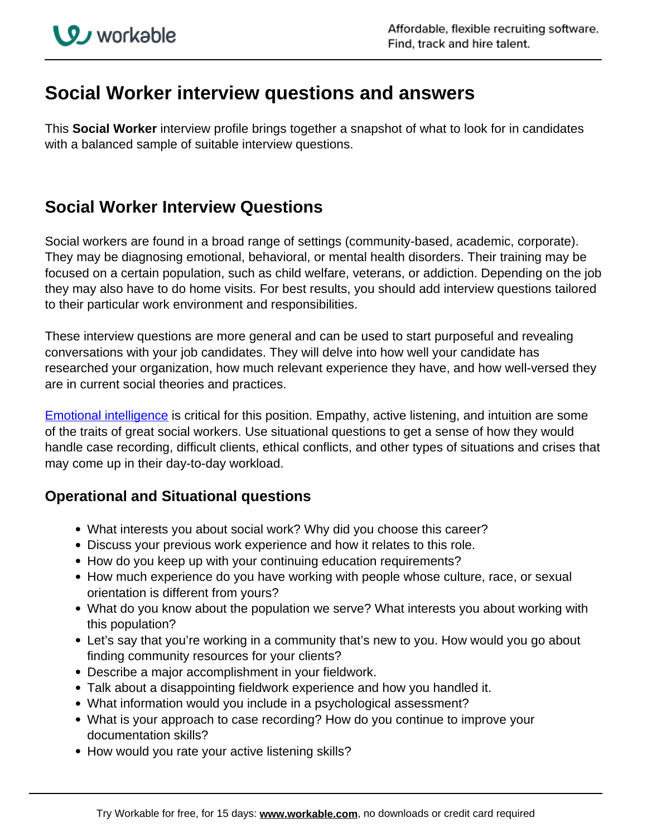## **Social Worker interview questions and answers**

This **Social Worker** interview profile brings together a snapshot of what to look for in candidates with a balanced sample of suitable interview questions.

## **Social Worker Interview Questions**

Social workers are found in a broad range of settings (community-based, academic, corporate). They may be diagnosing emotional, behavioral, or mental health disorders. Their training may be focused on a certain population, such as child welfare, veterans, or addiction. Depending on the job they may also have to do home visits. For best results, you should add interview questions tailored to their particular work environment and responsibilities.

These interview questions are more general and can be used to start purposeful and revealing conversations with your job candidates. They will delve into how well your candidate has researched your organization, how much relevant experience they have, and how well-versed they are in current social theories and practices.

**[Emotional intelligence](https://resources.workable.com/emotional-intelligence-interview-questions)** is critical for this position. Empathy, active listening, and intuition are some of the traits of great social workers. Use situational questions to get a sense of how they would handle case recording, difficult clients, ethical conflicts, and other types of situations and crises that may come up in their day-to-day workload.

## **Operational and Situational questions**

- What interests you about social work? Why did you choose this career?
- Discuss your previous work experience and how it relates to this role.
- How do you keep up with your continuing education requirements?
- How much experience do you have working with people whose culture, race, or sexual orientation is different from yours?
- What do you know about the population we serve? What interests you about working with this population?
- Let's say that you're working in a community that's new to you. How would you go about finding community resources for your clients?
- Describe a major accomplishment in your fieldwork.
- Talk about a disappointing fieldwork experience and how you handled it.
- What information would you include in a psychological assessment?
- What is your approach to case recording? How do you continue to improve your documentation skills?
- How would you rate your active listening skills?